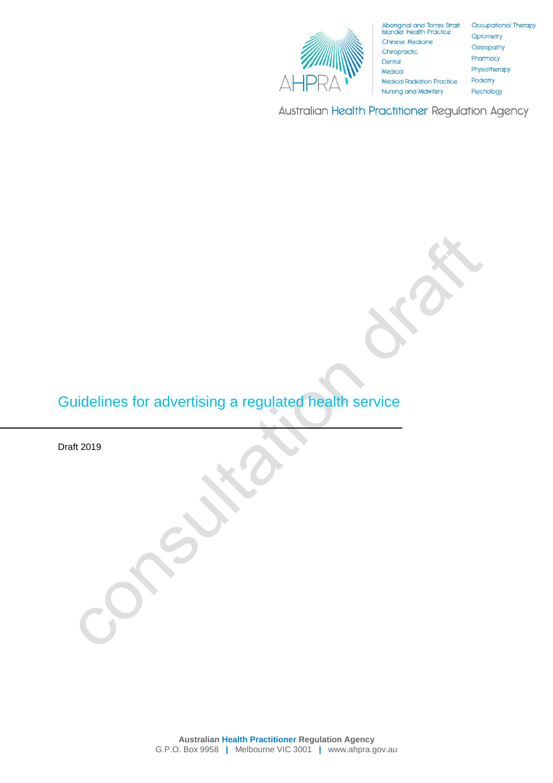

Aboriginal and Torres Strait<br>Islander Health Practice Chinese Medicine Chiropractic **Medical Radiation Practice Nursing and Midwifery** 

Occupational Therapy Optometry Osteopathy Pharmacy Physiotherapy Podiatry Psychology

Australian Health Practitioner Regulation Agency

# Guidelines for advertising a regulated health service

Draft 2019

**Australian Health Practitioner Regulation Agency** G.P.O. Box 9958 **|** Melbourne VIC 3001 **|** www.ahpra.gov.au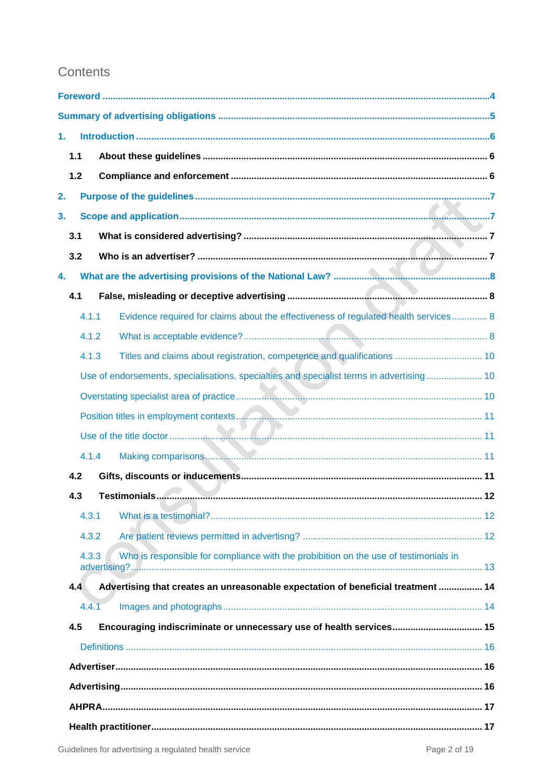## Contents

| 1.    |       |                                                                                          |  |
|-------|-------|------------------------------------------------------------------------------------------|--|
| $1.1$ |       |                                                                                          |  |
| $1.2$ |       |                                                                                          |  |
| 2.    |       |                                                                                          |  |
| 3.    |       |                                                                                          |  |
| 3.1   |       |                                                                                          |  |
| 3.2   |       |                                                                                          |  |
| 4.    |       |                                                                                          |  |
| 4.1   |       |                                                                                          |  |
|       | 4.1.1 | Evidence required for claims about the effectiveness of regulated health services 8      |  |
|       | 4.1.2 |                                                                                          |  |
|       | 4.1.3 |                                                                                          |  |
|       |       | Use of endorsements, specialisations, specialties and specialist terms in advertising 10 |  |
|       |       |                                                                                          |  |
|       |       |                                                                                          |  |
|       |       |                                                                                          |  |
|       | 4.1.4 |                                                                                          |  |
| 4.2   |       |                                                                                          |  |
| 4.3   |       |                                                                                          |  |
|       | 4.3.1 |                                                                                          |  |
|       | 4.3.2 |                                                                                          |  |
|       | 4.3.3 | Who is responsible for compliance with the probibition on the use of testimonials in     |  |
| 4.4   |       | Advertising that creates an unreasonable expectation of beneficial treatment  14         |  |
|       | 4.4.1 |                                                                                          |  |
| 4.5   |       | Encouraging indiscriminate or unnecessary use of health services 15                      |  |
|       |       |                                                                                          |  |
|       |       |                                                                                          |  |
|       |       |                                                                                          |  |
|       |       |                                                                                          |  |
|       |       |                                                                                          |  |
|       |       |                                                                                          |  |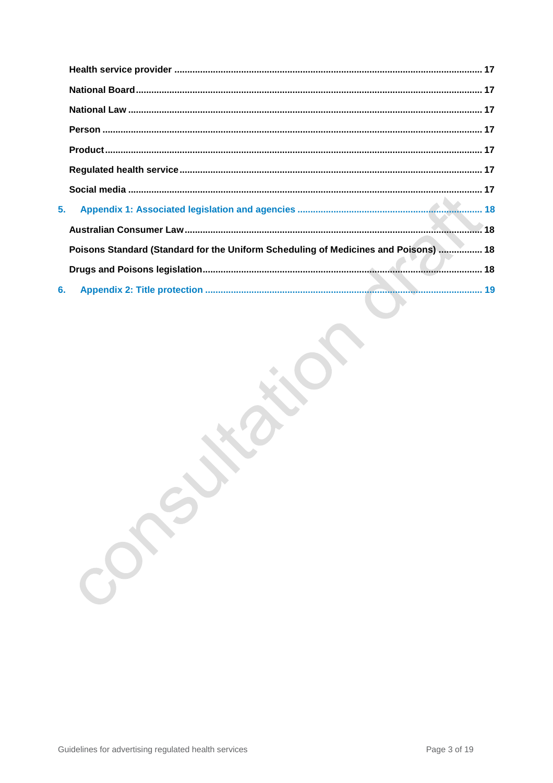| 5. |                                                                                     |  |
|----|-------------------------------------------------------------------------------------|--|
|    |                                                                                     |  |
|    | Poisons Standard (Standard for the Uniform Scheduling of Medicines and Poisons)  18 |  |
|    |                                                                                     |  |
|    | 6.                                                                                  |  |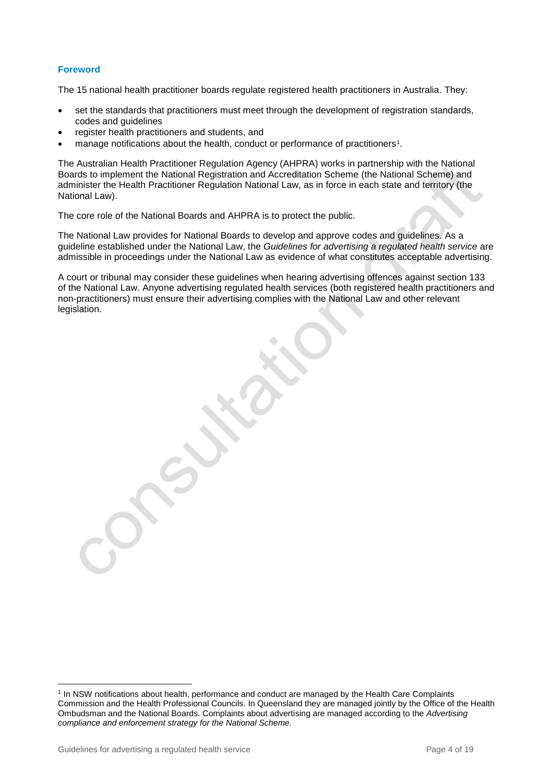## **Foreword**

The 15 national health practitioner boards regulate registered health practitioners in Australia. They:

- set the standards that practitioners must meet through the development of registration standards, codes and guidelines
- register health practitioners and students, and
- manage notifications about the health, conduct or performance of practitioners<sup>1</sup>.

The Australian Health Practitioner Regulation Agency (AHPRA) works in partnership with the National Boards to implement the National Registration and Accreditation Scheme (the National Scheme) and administer the Health Practitioner Regulation National Law, as in force in each state and territory (the National Law).

The core role of the National Boards and AHPRA is to protect the public.

The National Law provides for National Boards to develop and approve codes and guidelines. As a guideline established under the National Law, the *Guidelines for advertising a regulated health service* are admissible in proceedings under the National Law as evidence of what constitutes acceptable advertising.

A court or tribunal may consider these guidelines when hearing advertising offences against section 133 of the National Law. Anyone advertising regulated health services (both registered health practitioners and non-practitioners) must ensure their advertising complies with the National Law and other relevant legislation.

l

<sup>&</sup>lt;sup>1</sup> In NSW notifications about health, performance and conduct are managed by the Health Care Complaints Commission and the Health Professional Councils. In Queensland they are managed jointly by the Office of the Health Ombudsman and the National Boards. Complaints about advertising are managed according to the *Advertising compliance and enforcement strategy for the National Scheme.*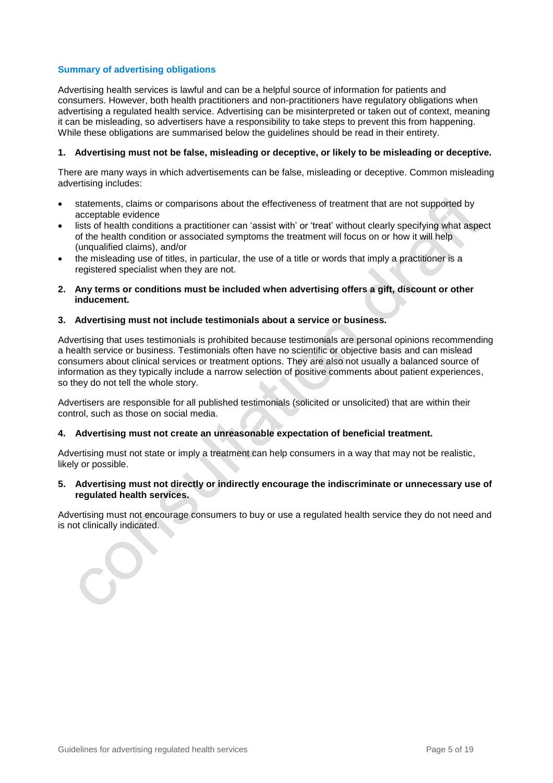## **Summary of advertising obligations**

Advertising health services is lawful and can be a helpful source of information for patients and consumers. However, both health practitioners and non-practitioners have regulatory obligations when advertising a regulated health service. Advertising can be misinterpreted or taken out of context, meaning it can be misleading, so advertisers have a responsibility to take steps to prevent this from happening. While these obligations are summarised below the guidelines should be read in their entirety.

## **1. Advertising must not be false, misleading or deceptive, or likely to be misleading or deceptive.**

There are many ways in which advertisements can be false, misleading or deceptive. Common misleading advertising includes:

- statements, claims or comparisons about the effectiveness of treatment that are not supported by acceptable evidence
- lists of health conditions a practitioner can 'assist with' or 'treat' without clearly specifying what aspect of the health condition or associated symptoms the treatment will focus on or how it will help (unqualified claims), and/or
- the misleading use of titles, in particular, the use of a title or words that imply a practitioner is a registered specialist when they are not.
- **2. Any terms or conditions must be included when advertising offers a gift, discount or other inducement.**

#### **3. Advertising must not include testimonials about a service or business.**

Advertising that uses testimonials is prohibited because testimonials are personal opinions recommending a health service or business. Testimonials often have no scientific or objective basis and can mislead consumers about clinical services or treatment options. They are also not usually a balanced source of information as they typically include a narrow selection of positive comments about patient experiences, so they do not tell the whole story.

Advertisers are responsible for all published testimonials (solicited or unsolicited) that are within their control, such as those on social media.

## **4. Advertising must not create an unreasonable expectation of beneficial treatment.**

Advertising must not state or imply a treatment can help consumers in a way that may not be realistic, likely or possible.

## **5. Advertising must not directly or indirectly encourage the indiscriminate or unnecessary use of regulated health services.**

Advertising must not encourage consumers to buy or use a regulated health service they do not need and is not clinically indicated.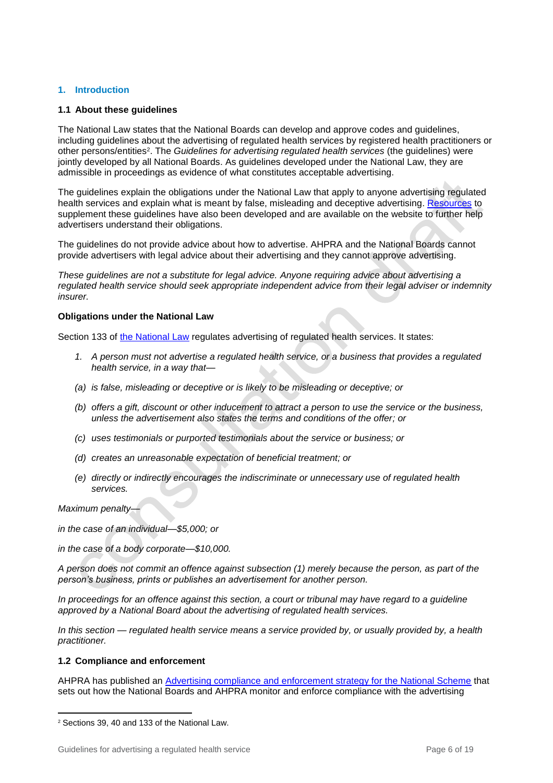## **1. Introduction**

## **1.1 About these guidelines**

The National Law states that the National Boards can develop and approve codes and guidelines, including guidelines about the advertising of regulated health services by registered health practitioners or other persons/entities<sup>2</sup>. The *Guidelines for advertising regulated health services* (the guidelines) were jointly developed by all National Boards. As guidelines developed under the National Law, they are admissible in proceedings as evidence of what constitutes acceptable advertising.

The guidelines explain the obligations under the National Law that apply to anyone advertising regulated health services and explain what is meant by false, misleading and deceptive advertising. [Resources](https://www.ahpra.gov.au/Publications/Advertising-resources/Check-and-correct.aspx) to supplement these guidelines have also been developed and are available on the website to further help advertisers understand their obligations.

The guidelines do not provide advice about how to advertise. AHPRA and the National Boards cannot provide advertisers with legal advice about their advertising and they cannot approve advertising.

*These guidelines are not a substitute for legal advice. Anyone requiring advice about advertising a regulated health service should seek appropriate independent advice from their legal adviser or indemnity insurer.* 

## **Obligations under the National Law**

Section 133 of [the National Law](https://www.ahpra.gov.au/About-AHPRA/What-We-Do/Legislation.aspx) regulates advertising of regulated health services. It states:

- *1. A person must not advertise a regulated health service, or a business that provides a regulated health service, in a way that—*
- *(a) is false, misleading or deceptive or is likely to be misleading or deceptive; or*
- *(b) offers a gift, discount or other inducement to attract a person to use the service or the business, unless the advertisement also states the terms and conditions of the offer; or*
- *(c) uses testimonials or purported testimonials about the service or business; or*
- *(d) creates an unreasonable expectation of beneficial treatment; or*
- *(e) directly or indirectly encourages the indiscriminate or unnecessary use of regulated health services.*

*Maximum penalty—*

 $\overline{a}$ 

*in the case of an individual—\$5,000; or* 

*in the case of a body corporate—\$10,000.*

*A person does not commit an offence against subsection (1) merely because the person, as part of the person's business, prints or publishes an advertisement for another person.* 

*In proceedings for an offence against this section, a court or tribunal may have regard to a guideline approved by a National Board about the advertising of regulated health services.* 

*In this section — regulated health service means a service provided by, or usually provided by, a health practitioner.*

## **1.2 Compliance and enforcement**

AHPRA has published an [Advertising compliance and enforcement strategy for the National Scheme](http://www.ahpra.gov.au/Publications/Advertising-resources/Legislation-guidelines.aspx) that sets out how the National Boards and AHPRA monitor and enforce compliance with the advertising

<sup>2</sup> Sections 39, 40 and 133 of the National Law.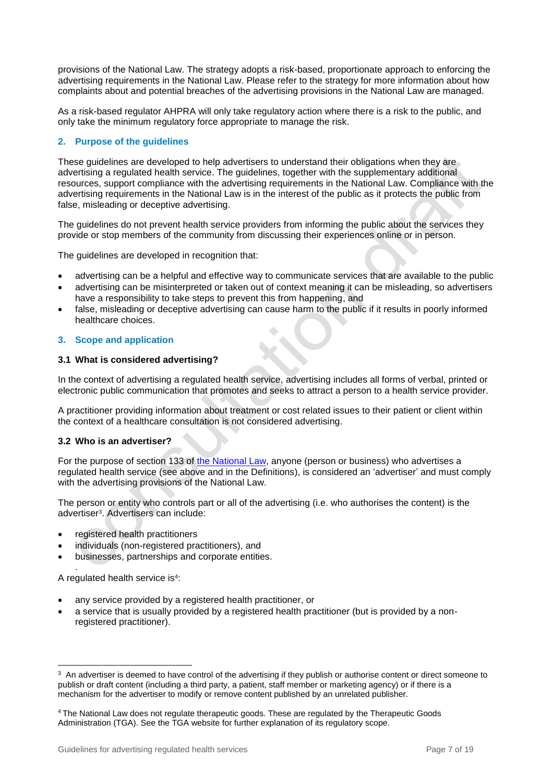provisions of the National Law. The strategy adopts a risk-based, proportionate approach to enforcing the advertising requirements in the National Law. Please refer to the strategy for more information about how complaints about and potential breaches of the advertising provisions in the National Law are managed.

As a risk-based regulator AHPRA will only take regulatory action where there is a risk to the public, and only take the minimum regulatory force appropriate to manage the risk.

## **2. Purpose of the guidelines**

These guidelines are developed to help advertisers to understand their obligations when they are advertising a regulated health service. The guidelines, together with the supplementary additional resources, support compliance with the advertising requirements in the National Law. Compliance with the advertising requirements in the National Law is in the interest of the public as it protects the public from false, misleading or deceptive advertising.

The guidelines do not prevent health service providers from informing the public about the services they provide or stop members of the community from discussing their experiences online or in person.

The guidelines are developed in recognition that:

- advertising can be a helpful and effective way to communicate services that are available to the public
- advertising can be misinterpreted or taken out of context meaning it can be misleading, so advertisers have a responsibility to take steps to prevent this from happening, and
- false, misleading or deceptive advertising can cause harm to the public if it results in poorly informed healthcare choices.

## **3. Scope and application**

## **3.1 What is considered advertising?**

In the context of advertising a regulated health service, advertising includes all forms of verbal, printed or electronic public communication that promotes and seeks to attract a person to a health service provider.

A practitioner providing information about treatment or cost related issues to their patient or client within the context of a healthcare consultation is not considered advertising.

## **3.2 Who is an advertiser?**

For the purpose of section 133 of [the National Law,](https://www.ahpra.gov.au/About-AHPRA/What-We-Do/Legislation.aspx) anyone (person or business) who advertises a regulated health service (see above and in the Definitions), is considered an 'advertiser' and must comply with the advertising provisions of the National Law.

The person or entity who controls part or all of the advertising (i.e. who authorises the content) is the advertiser<sup>3</sup> . Advertisers can include:

- registered health practitioners
- individuals (non-registered practitioners), and
- businesses, partnerships and corporate entities.

. A regulated health service is<sup>4</sup>:

- any service provided by a registered health practitioner, or
- a service that is usually provided by a registered health practitioner (but is provided by a nonregistered practitioner).

 $\overline{a}$ <sup>3</sup> An advertiser is deemed to have control of the advertising if they publish or authorise content or direct someone to publish or draft content (including a third party, a patient, staff member or marketing agency) or if there is a mechanism for the advertiser to modify or remove content published by an unrelated publisher.

<sup>4</sup> The National Law does not regulate therapeutic goods. These are regulated by the Therapeutic Goods Administration (TGA). See the [TGA website](https://www.tga.gov.au/what-tga-regulates) for further explanation of its regulatory scope.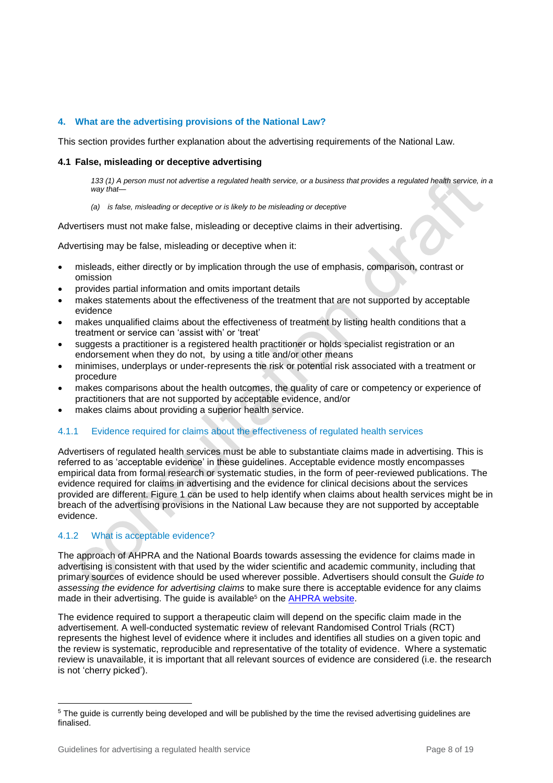## **4. What are the advertising provisions of the National Law?**

This section provides further explanation about the advertising requirements of the National Law.

## **4.1 False, misleading or deceptive advertising**

*133 (1) A person must not advertise a regulated health service, or a business that provides a regulated health service, in a way that—*

*(a) is false, misleading or deceptive or is likely to be misleading or deceptive*

Advertisers must not make false, misleading or deceptive claims in their advertising.

Advertising may be false, misleading or deceptive when it:

- misleads, either directly or by implication through the use of emphasis, comparison, contrast or omission
- provides partial information and omits important details
- makes statements about the effectiveness of the treatment that are not supported by acceptable evidence
- makes unqualified claims about the effectiveness of treatment by listing health conditions that a treatment or service can 'assist with' or 'treat'
- suggests a practitioner is a registered health practitioner or holds specialist registration or an endorsement when they do not, by using a title and/or other means
- minimises, underplays or under-represents the risk or potential risk associated with a treatment or procedure
- makes comparisons about the health outcomes, the quality of care or competency or experience of practitioners that are not supported by acceptable evidence, and/or
- makes claims about providing a superior health service.

## 4.1.1 Evidence required for claims about the effectiveness of regulated health services

Advertisers of regulated health services must be able to substantiate claims made in advertising. This is referred to as 'acceptable evidence' in these guidelines. Acceptable evidence mostly encompasses empirical data from formal research or systematic studies, in the form of peer-reviewed publications. The evidence required for claims in advertising and the evidence for clinical decisions about the services provided are different. Figure 1 can be used to help identify when claims about health services might be in breach of the advertising provisions in the National Law because they are not supported by acceptable evidence.

## 4.1.2 What is acceptable evidence?

The approach of AHPRA and the National Boards towards assessing the evidence for claims made in advertising is consistent with that used by the wider scientific and academic community, including that primary sources of evidence should be used wherever possible. Advertisers should consult the *Guide to assessing the evidence for advertising claims* to make sure there is acceptable evidence for any claims made in their advertising. The guide is available<sup>5</sup> on the [AHPRA website.](https://www.ahpra.gov.au/Publications/Advertising-resources/Check-and-correct.aspx)

The evidence required to support a therapeutic claim will depend on the specific claim made in the advertisement. A well-conducted systematic review of relevant Randomised Control Trials (RCT) represents the highest level of evidence where it includes and identifies all studies on a given topic and the review is systematic, reproducible and representative of the totality of evidence. Where a systematic review is unavailable, it is important that all relevant sources of evidence are considered (i.e. the research is not 'cherry picked').

l

<sup>&</sup>lt;sup>5</sup> The guide is currently being developed and will be published by the time the revised advertising guidelines are finalised.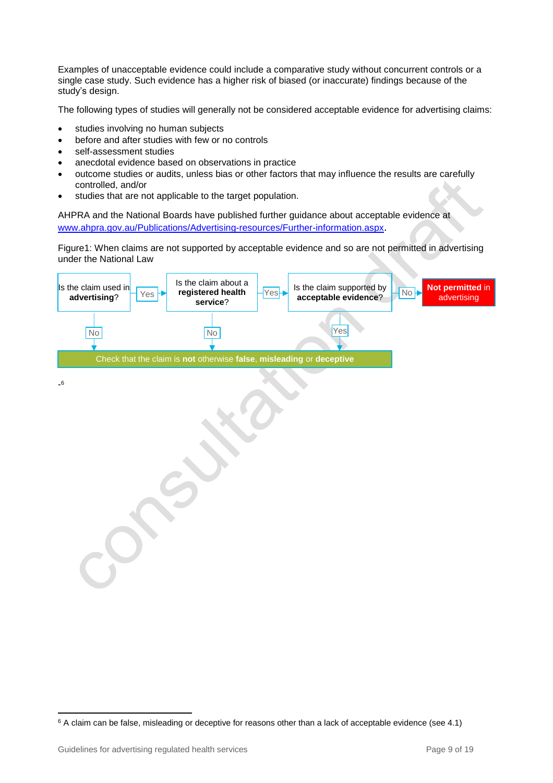Examples of unacceptable evidence could include a comparative study without concurrent controls or a single case study. Such evidence has a higher risk of biased (or inaccurate) findings because of the study's design.

The following types of studies will generally not be considered acceptable evidence for advertising claims:

- studies involving no human subjects
- before and after studies with few or no controls
- self-assessment studies
- anecdotal evidence based on observations in practice
- outcome studies or audits, unless bias or other factors that may influence the results are carefully controlled, and/or
- studies that are not applicable to the target population.

AHPRA and the National Boards have published further guidance about acceptable evidence at [www.ahpra.gov.au/Publications/Advertising-resources/Further-information.aspx](file:///C:/Users/htownley/AppData/Local/Microsoft/Windows/Temporary%20Internet%20Files/Content.Outlook/5VY1IJB6/www.ahpra.gov.au/Publications/Advertising-resources/Further-information.aspx).

Figure1: When claims are not supported by acceptable evidence and so are not permitted in advertising under the National Law



- 6

 $\overline{a}$ <sup>6</sup> A claim can be false, misleading or deceptive for reasons other than a lack of acceptable evidence (see 4.1)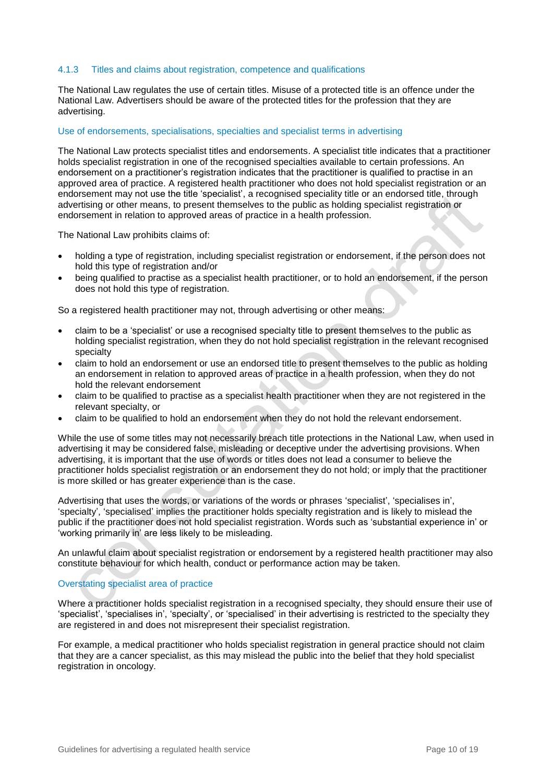## 4.1.3 Titles and claims about registration, competence and qualifications

The National Law regulates the use of certain titles. Misuse of a protected title is an offence under the National Law. Advertisers should be aware of the protected titles for the profession that they are advertising.

## Use of endorsements, specialisations, specialties and specialist terms in advertising

The National Law protects specialist titles and endorsements. A specialist title indicates that a practitioner holds specialist registration in one of the recognised specialties available to certain professions. An endorsement on a practitioner's registration indicates that the practitioner is qualified to practise in an approved area of practice. A registered health practitioner who does not hold specialist registration or an endorsement may not use the title 'specialist', a recognised speciality title or an endorsed title, through advertising or other means, to present themselves to the public as holding specialist registration or endorsement in relation to approved areas of practice in a health profession.

The National Law prohibits claims of:

- holding a type of registration, including specialist registration or endorsement, if the person does not hold this type of registration and/or
- being qualified to practise as a specialist health practitioner, or to hold an endorsement, if the person does not hold this type of registration.

So a registered health practitioner may not, through advertising or other means:

- claim to be a 'specialist' or use a recognised specialty title to present themselves to the public as holding specialist registration, when they do not hold specialist registration in the relevant recognised specialty
- claim to hold an endorsement or use an endorsed title to present themselves to the public as holding an endorsement in relation to approved areas of practice in a health profession, when they do not hold the relevant endorsement
- claim to be qualified to practise as a specialist health practitioner when they are not registered in the relevant specialty, or
- claim to be qualified to hold an endorsement when they do not hold the relevant endorsement.

While the use of some titles may not necessarily breach title protections in the National Law, when used in advertising it may be considered false, misleading or deceptive under the advertising provisions. When advertising, it is important that the use of words or titles does not lead a consumer to believe the practitioner holds specialist registration or an endorsement they do not hold; or imply that the practitioner is more skilled or has greater experience than is the case.

Advertising that uses the words, or variations of the words or phrases 'specialist', 'specialises in', 'specialty', 'specialised' implies the practitioner holds specialty registration and is likely to mislead the public if the practitioner does not hold specialist registration. Words such as 'substantial experience in' or 'working primarily in' are less likely to be misleading.

An unlawful claim about specialist registration or endorsement by a registered health practitioner may also constitute behaviour for which health, conduct or performance action may be taken.

## Overstating specialist area of practice

Where a practitioner holds specialist registration in a recognised specialty, they should ensure their use of 'specialist', 'specialises in', 'specialty', or 'specialised' in their advertising is restricted to the specialty they are registered in and does not misrepresent their specialist registration.

For example, a medical practitioner who holds specialist registration in general practice should not claim that they are a cancer specialist, as this may mislead the public into the belief that they hold specialist registration in oncology.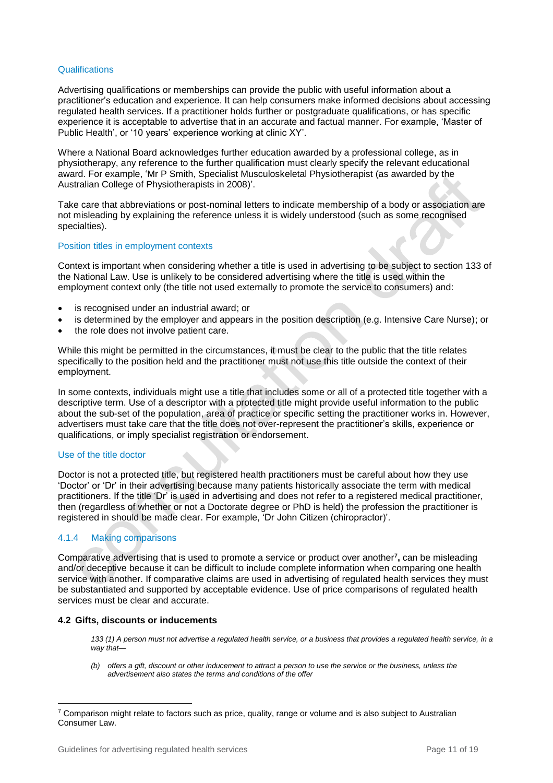## **Qualifications**

Advertising qualifications or memberships can provide the public with useful information about a practitioner's education and experience. It can help consumers make informed decisions about accessing regulated health services. If a practitioner holds further or postgraduate qualifications, or has specific experience it is acceptable to advertise that in an accurate and factual manner. For example, 'Master of Public Health', or '10 years' experience working at clinic XY'.

Where a National Board acknowledges further education awarded by a professional college, as in physiotherapy, any reference to the further qualification must clearly specify the relevant educational award. For example, 'Mr P Smith, Specialist Musculoskeletal Physiotherapist (as awarded by the Australian College of Physiotherapists in 2008)'.

Take care that abbreviations or post-nominal letters to indicate membership of a body or association are not misleading by explaining the reference unless it is widely understood (such as some recognised specialties).

## Position titles in employment contexts

Context is important when considering whether a title is used in advertising to be subject to section 133 of the National Law. Use is unlikely to be considered advertising where the title is used within the employment context only (the title not used externally to promote the service to consumers) and:

- is recognised under an industrial award; or
- is determined by the employer and appears in the position description (e.g. Intensive Care Nurse); or
- the role does not involve patient care.

While this might be permitted in the circumstances, it must be clear to the public that the title relates specifically to the position held and the practitioner must not use this title outside the context of their employment.

In some contexts, individuals might use a title that includes some or all of a protected title together with a descriptive term. Use of a descriptor with a protected title might provide useful information to the public about the sub-set of the population, area of practice or specific setting the practitioner works in. However, advertisers must take care that the title does not over-represent the practitioner's skills, experience or qualifications, or imply specialist registration or endorsement.

## Use of the title doctor

Doctor is not a protected title, but registered health practitioners must be careful about how they use 'Doctor' or 'Dr' in their advertising because many patients historically associate the term with medical practitioners. If the title 'Dr' is used in advertising and does not refer to a registered medical practitioner, then (regardless of whether or not a Doctorate degree or PhD is held) the profession the practitioner is registered in should be made clear. For example, 'Dr John Citizen (chiropractor)'.

## 4.1.4 Making comparisons

l

Comparative advertising that is used to promote a service or product over another**<sup>7</sup> ,** can be misleading and/or deceptive because it can be difficult to include complete information when comparing one health service with another. If comparative claims are used in advertising of regulated health services they must be substantiated and supported by acceptable evidence. Use of price comparisons of regulated health services must be clear and accurate.

## **4.2 Gifts, discounts or inducements**

*133 (1) A person must not advertise a regulated health service, or a business that provides a regulated health service, in a way that—*

*(b) offers a gift, discount or other inducement to attract a person to use the service or the business, unless the advertisement also states the terms and conditions of the offer*

 $7$  Comparison might relate to factors such as price, quality, range or volume and is also subject to Australian Consumer Law.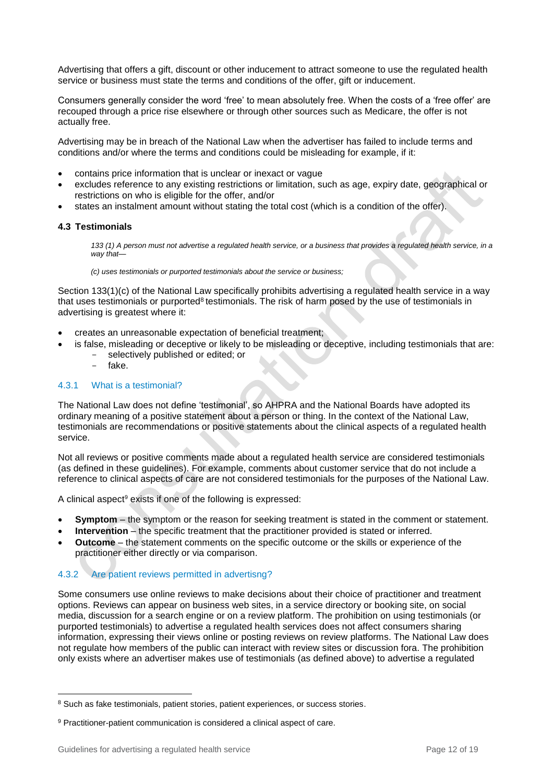Advertising that offers a gift, discount or other inducement to attract someone to use the regulated health service or business must state the terms and conditions of the offer, gift or inducement.

Consumers generally consider the word 'free' to mean absolutely free. When the costs of a 'free offer' are recouped through a price rise elsewhere or through other sources such as Medicare, the offer is not actually free.

Advertising may be in breach of the National Law when the advertiser has failed to include terms and conditions and/or where the terms and conditions could be misleading for example, if it:

- contains price information that is unclear or inexact or vague
- excludes reference to any existing restrictions or limitation, such as age, expiry date, geographical or restrictions on who is eligible for the offer, and/or
- states an instalment amount without stating the total cost (which is a condition of the offer).

## **4.3 Testimonials**

*133 (1) A person must not advertise a regulated health service, or a business that provides a regulated health service, in a way that—*

*(c) uses testimonials or purported testimonials about the service or business;*

Section 133(1)(c) of the National Law specifically prohibits advertising a regulated health service in a way that uses testimonials or purported<sup>8</sup> testimonials. The risk of harm posed by the use of testimonials in advertising is greatest where it:

- creates an unreasonable expectation of beneficial treatment;
- is false, misleading or deceptive or likely to be misleading or deceptive, including testimonials that are: selectively published or edited; or
	- fake.

## 4.3.1 What is a testimonial?

The National Law does not define 'testimonial', so AHPRA and the National Boards have adopted its ordinary meaning of a positive statement about a person or thing. In the context of the National Law, testimonials are recommendations or positive statements about the clinical aspects of a regulated health service.

Not all reviews or positive comments made about a regulated health service are considered testimonials (as defined in these guidelines). For example, comments about customer service that do not include a reference to clinical aspects of care are not considered testimonials for the purposes of the National Law.

A clinical aspect<sup>9</sup> exists if one of the following is expressed:

- **Symptom** the symptom or the reason for seeking treatment is stated in the comment or statement.
- **Intervention** the specific treatment that the practitioner provided is stated or inferred.
- **Outcome** the statement comments on the specific outcome or the skills or experience of the practitioner either directly or via comparison.

## 4.3.2 Are patient reviews permitted in advertisng?

Some consumers use online reviews to make decisions about their choice of practitioner and treatment options. Reviews can appear on business web sites, in a service directory or booking site, on social media, discussion for a search engine or on a review platform. The prohibition on using testimonials (or purported testimonials) to advertise a regulated health services does not affect consumers sharing information, expressing their views online or posting reviews on review platforms. The National Law does not regulate how members of the public can interact with review sites or discussion fora. The prohibition only exists where an advertiser makes use of testimonials (as defined above) to advertise a regulated

l 8 Such as fake testimonials, patient stories, patient experiences, or success stories.

<sup>&</sup>lt;sup>9</sup> Practitioner-patient communication is considered a clinical aspect of care.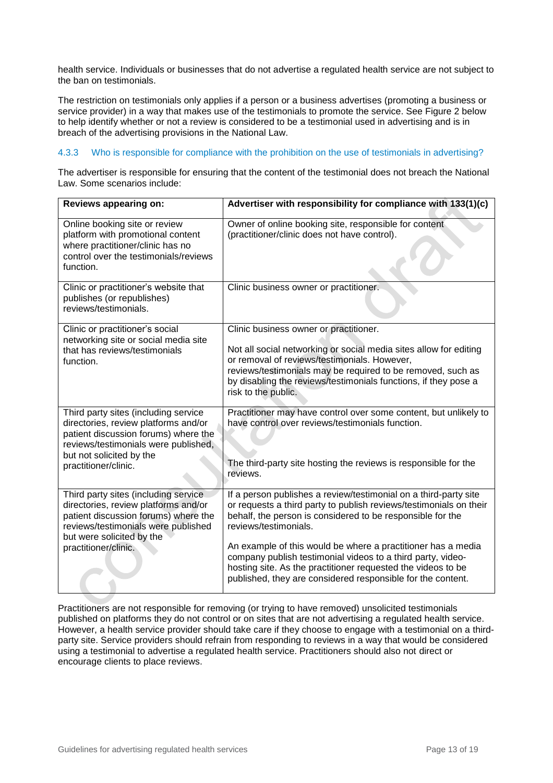health service. Individuals or businesses that do not advertise a regulated health service are not subject to the ban on testimonials.

The restriction on testimonials only applies if a person or a business advertises (promoting a business or service provider) in a way that makes use of the testimonials to promote the service. See Figure 2 below to help identify whether or not a review is considered to be a testimonial used in advertising and is in breach of the advertising provisions in the National Law.

## 4.3.3 Who is responsible for compliance with the prohibition on the use of testimonials in advertising?

The advertiser is responsible for ensuring that the content of the testimonial does not breach the National Law. Some scenarios include:

| Reviews appearing on:                                                                                                                                                                                            | Advertiser with responsibility for compliance with 133(1)(c)                                                                                                                                                                                                                                                                                                                                                                                                                                |
|------------------------------------------------------------------------------------------------------------------------------------------------------------------------------------------------------------------|---------------------------------------------------------------------------------------------------------------------------------------------------------------------------------------------------------------------------------------------------------------------------------------------------------------------------------------------------------------------------------------------------------------------------------------------------------------------------------------------|
| Online booking site or review<br>platform with promotional content<br>where practitioner/clinic has no<br>control over the testimonials/reviews<br>function.                                                     | Owner of online booking site, responsible for content<br>(practitioner/clinic does not have control).                                                                                                                                                                                                                                                                                                                                                                                       |
| Clinic or practitioner's website that<br>publishes (or republishes)<br>reviews/testimonials.                                                                                                                     | Clinic business owner or practitioner.                                                                                                                                                                                                                                                                                                                                                                                                                                                      |
| Clinic or practitioner's social<br>networking site or social media site<br>that has reviews/testimonials<br>function.                                                                                            | Clinic business owner or practitioner.<br>Not all social networking or social media sites allow for editing<br>or removal of reviews/testimonials. However,<br>reviews/testimonials may be required to be removed, such as<br>by disabling the reviews/testimonials functions, if they pose a<br>risk to the public.                                                                                                                                                                        |
| Third party sites (including service<br>directories, review platforms and/or<br>patient discussion forums) where the<br>reviews/testimonials were published,<br>but not solicited by the<br>practitioner/clinic. | Practitioner may have control over some content, but unlikely to<br>have control over reviews/testimonials function.<br>The third-party site hosting the reviews is responsible for the<br>reviews.                                                                                                                                                                                                                                                                                         |
| Third party sites (including service<br>directories, review platforms and/or<br>patient discussion forums) where the<br>reviews/testimonials were published<br>but were solicited by the<br>practitioner/clinic. | If a person publishes a review/testimonial on a third-party site<br>or requests a third party to publish reviews/testimonials on their<br>behalf, the person is considered to be responsible for the<br>reviews/testimonials.<br>An example of this would be where a practitioner has a media<br>company publish testimonial videos to a third party, video-<br>hosting site. As the practitioner requested the videos to be<br>published, they are considered responsible for the content. |

Practitioners are not responsible for removing (or trying to have removed) unsolicited testimonials published on platforms they do not control or on sites that are not advertising a regulated health service. However, a health service provider should take care if they choose to engage with a testimonial on a thirdparty site. Service providers should refrain from responding to reviews in a way that would be considered using a testimonial to advertise a regulated health service. Practitioners should also not direct or encourage clients to place reviews.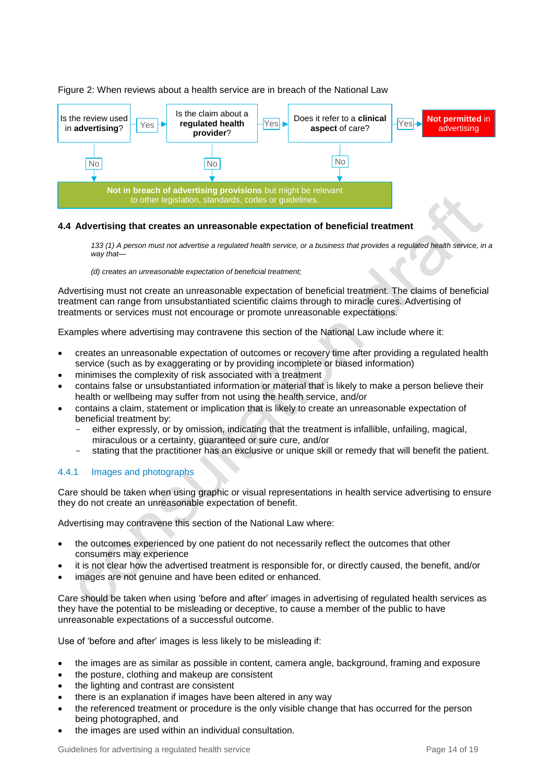

## Figure 2: When reviews about a health service are in breach of the National Law

## **4.4 Advertising that creates an unreasonable expectation of beneficial treatment**

133 (1) A person must not advertise a regulated health service, or a business that provides a regulated health service, in a *way that—*

*(d) creates an unreasonable expectation of beneficial treatment;* 

Advertising must not create an unreasonable expectation of beneficial treatment. The claims of beneficial treatment can range from unsubstantiated scientific claims through to miracle cures. Advertising of treatments or services must not encourage or promote unreasonable expectations.

Examples where advertising may contravene this section of the National Law include where it:

- creates an unreasonable expectation of outcomes or recovery time after providing a regulated health service (such as by exaggerating or by providing incomplete or biased information)
- minimises the complexity of risk associated with a treatment
- contains false or unsubstantiated information or material that is likely to make a person believe their health or wellbeing may suffer from not using the health service, and/or
- contains a claim, statement or implication that is likely to create an unreasonable expectation of beneficial treatment by:
	- either expressly, or by omission, indicating that the treatment is infallible, unfailing, magical, miraculous or a certainty, guaranteed or sure cure, and/or
	- stating that the practitioner has an exclusive or unique skill or remedy that will benefit the patient.

## 4.4.1 Images and photographs

Care should be taken when using graphic or visual representations in health service advertising to ensure they do not create an unreasonable expectation of benefit.

Advertising may contravene this section of the National Law where:

- the outcomes experienced by one patient do not necessarily reflect the outcomes that other consumers may experience
- it is not clear how the advertised treatment is responsible for, or directly caused, the benefit, and/or
- images are not genuine and have been edited or enhanced.

Care should be taken when using 'before and after' images in advertising of regulated health services as they have the potential to be misleading or deceptive, to cause a member of the public to have unreasonable expectations of a successful outcome.

Use of 'before and after' images is less likely to be misleading if:

- the images are as similar as possible in content, camera angle, background, framing and exposure
- the posture, clothing and makeup are consistent
- the lighting and contrast are consistent
- there is an explanation if images have been altered in any way
- the referenced treatment or procedure is the only visible change that has occurred for the person being photographed, and
- the images are used within an individual consultation.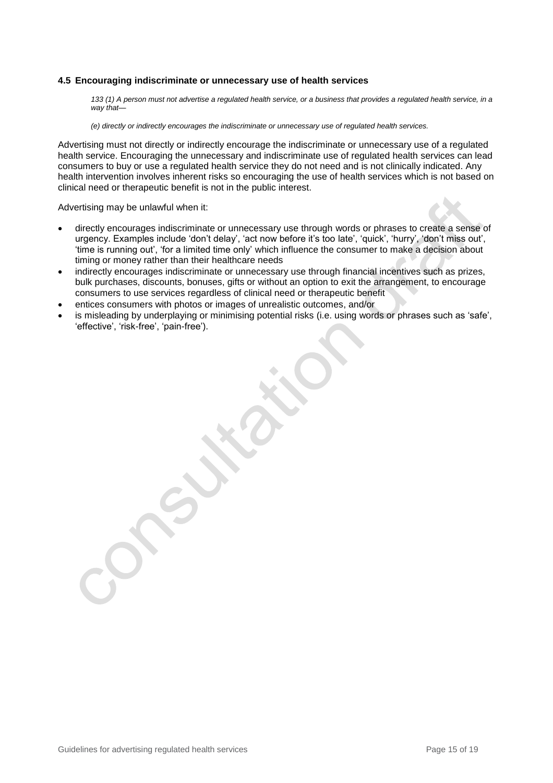#### **4.5 Encouraging indiscriminate or unnecessary use of health services**

133 (1) A person must not advertise a regulated health service, or a business that provides a regulated health service, in a *way that—*

*(e) directly or indirectly encourages the indiscriminate or unnecessary use of regulated health services.* 

Advertising must not directly or indirectly encourage the indiscriminate or unnecessary use of a regulated health service. Encouraging the unnecessary and indiscriminate use of regulated health services can lead consumers to buy or use a regulated health service they do not need and is not clinically indicated. Any health intervention involves inherent risks so encouraging the use of health services which is not based on clinical need or therapeutic benefit is not in the public interest.

Advertising may be unlawful when it:

- directly encourages indiscriminate or unnecessary use through words or phrases to create a sense of urgency. Examples include 'don't delay', 'act now before it's too late', 'quick', 'hurry', 'don't miss out', 'time is running out', 'for a limited time only' which influence the consumer to make a decision about timing or money rather than their healthcare needs
- indirectly encourages indiscriminate or unnecessary use through financial incentives such as prizes, bulk purchases, discounts, bonuses, gifts or without an option to exit the arrangement, to encourage consumers to use services regardless of clinical need or therapeutic benefit
- entices consumers with photos or images of unrealistic outcomes, and/or
- is misleading by underplaying or minimising potential risks (i.e. using words or phrases such as 'safe', 'effective', 'risk-free', 'pain-free').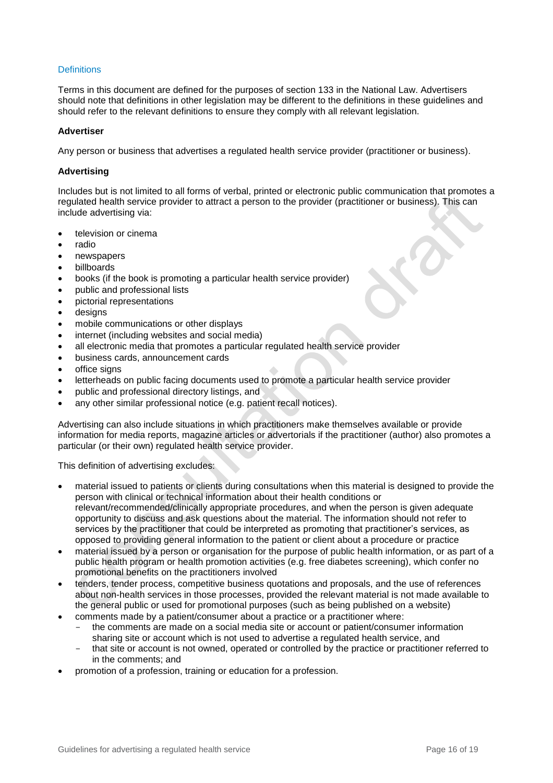## **Definitions**

Terms in this document are defined for the purposes of section 133 in the National Law. Advertisers should note that definitions in other legislation may be different to the definitions in these guidelines and should refer to the relevant definitions to ensure they comply with all relevant legislation.

#### **Advertiser**

Any person or business that advertises a regulated health service provider (practitioner or business).

#### **Advertising**

Includes but is not limited to all forms of verbal, printed or electronic public communication that promotes a regulated health service provider to attract a person to the provider (practitioner or business). This can include advertising via:

- television or cinema
- radio
- newspapers
- **billboards**
- books (if the book is promoting a particular health service provider)
- public and professional lists
- pictorial representations
- desians
- mobile communications or other displays
- internet (including websites and social media)
- all electronic media that promotes a particular regulated health service provider
- business cards, announcement cards
- office signs
- letterheads on public facing documents used to promote a particular health service provider
- public and professional directory listings, and
- any other similar professional notice (e.g. patient recall notices).

Advertising can also include situations in which practitioners make themselves available or provide information for media reports, magazine articles or advertorials if the practitioner (author) also promotes a particular (or their own) regulated health service provider.

This definition of advertising excludes:

- material issued to patients or clients during consultations when this material is designed to provide the person with clinical or technical information about their health conditions or relevant/recommended/clinically appropriate procedures, and when the person is given adequate opportunity to discuss and ask questions about the material. The information should not refer to services by the practitioner that could be interpreted as promoting that practitioner's services, as opposed to providing general information to the patient or client about a procedure or practice
- material issued by a person or organisation for the purpose of public health information, or as part of a public health program or health promotion activities (e.g. free diabetes screening), which confer no promotional benefits on the practitioners involved
- tenders, tender process, competitive business quotations and proposals, and the use of references about non-health services in those processes, provided the relevant material is not made available to the general public or used for promotional purposes (such as being published on a website)
- comments made by a patient/consumer about a practice or a practitioner where:
	- the comments are made on a social media site or account or patient/consumer information sharing site or account which is not used to advertise a regulated health service, and
	- that site or account is not owned, operated or controlled by the practice or practitioner referred to in the comments; and
- promotion of a profession, training or education for a profession.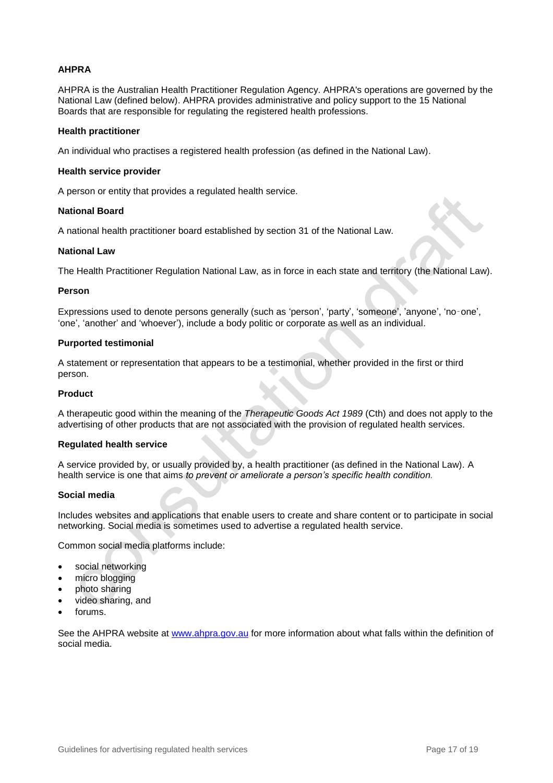## **AHPRA**

AHPRA is the Australian Health Practitioner Regulation Agency. AHPRA's operations are governed by the National Law (defined below). AHPRA provides administrative and policy support to the 15 National Boards that are responsible for regulating the registered health professions.

## **Health practitioner**

An individual who practises a registered health profession (as defined in the National Law).

## **Health service provider**

A person or entity that provides a regulated health service.

#### **National Board**

A national health practitioner board established by section 31 of the National Law.

#### **National Law**

The Health Practitioner Regulation National Law, as in force in each state and territory (the National Law).

#### **Person**

Expressions used to denote persons generally (such as 'person', 'party', 'someone', 'anyone', 'no‑one', 'one', 'another' and 'whoever'), include a body politic or corporate as well as an individual.

#### **Purported testimonial**

A statement or representation that appears to be a testimonial, whether provided in the first or third person.

#### **Product**

A therapeutic good within the meaning of the *Therapeutic Goods Act 1989* (Cth) and does not apply to the advertising of other products that are not associated with the provision of regulated health services.

## **Regulated health service**

A service provided by, or usually provided by, a health practitioner (as defined in the National Law). A health service is one that aims *to prevent or ameliorate a person's specific health condition.*

## **Social media**

Includes websites and applications that enable users to create and share content or to participate in social networking. Social media is sometimes used to advertise a regulated health service.

Common social media platforms include:

- social networking
- micro blogging
- photo sharing
- video sharing, and
- forums.

See the AHPRA website at [www.ahpra.gov.au](http://www.ahpra.gov.au/) for more information about what falls within the definition of social media.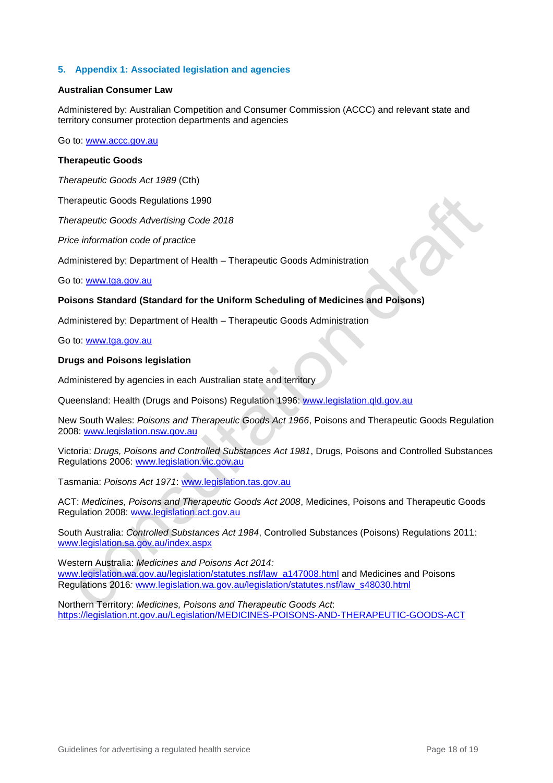## **5. Appendix 1: Associated legislation and agencies**

#### **Australian Consumer Law**

Administered by: Australian Competition and Consumer Commission (ACCC) and relevant state and territory consumer protection departments and agencies

Go to: [www.accc.gov.au](http://www.accc.gov.au/)

## **Therapeutic Goods**

*Therapeutic Goods Act 1989* (Cth)

Therapeutic Goods Regulations 1990

*Therapeutic Goods Advertising Code 2018* 

*Price information code of practice*

Administered by: Department of Health – Therapeutic Goods Administration

Go to: [www.tga.gov.au](http://www.tga.gov.au/)

## **Poisons Standard (Standard for the Uniform Scheduling of Medicines and Poisons)**

Administered by: Department of Health – Therapeutic Goods Administration

Go to: [www.tga.gov.au](http://www.tga.gov.au/)

## **Drugs and Poisons legislation**

Administered by agencies in each Australian state and territory

Queensland: Health (Drugs and Poisons) Regulation 1996: [www.legislation.qld.gov.au](http://www.legislation.qld.gov.au/)

New South Wales: *Poisons and Therapeutic Goods Act 1966*, Poisons and Therapeutic Goods Regulation 2008: [www.legislation.nsw.gov.au](http://www.legislation.nsw.gov.au/)

Victoria: *Drugs, Poisons and Controlled Substances Act 1981*, Drugs, Poisons and Controlled Substances Regulations 2006: [www.legislation.vic.gov.au](http://www.legislation.vic.gov.au/)

Tasmania: *Poisons Act 1971*: [www.legislation.tas.gov.au](http://www.legislation.tas.gov.au/)

ACT: *Medicines, Poisons and Therapeutic Goods Act 2008*, Medicines, Poisons and Therapeutic Goods Regulation 2008: [www.legislation.act.gov.au](http://www.legislation.act.gov.au/)

South Australia: *Controlled Substances Act 1984*, Controlled Substances (Poisons) Regulations 2011: [www.legislation.sa.gov.au/index.aspx](http://www.legislation.sa.gov.au/index.aspx)

Western Australia: *Medicines and Poisons Act 2014:*  [www.legislation.wa.gov.au/legislation/statutes.nsf/law\\_a147008.html](file:///C:/Users/cdillon-smith/AppData/Local/Microsoft/Windows/Temporary%20Internet%20Files/Content.Outlook/Y81EKBE2/www.legislation.wa.gov.au/legislation/statutes.nsf/law_a147008.html) and Medicines and Poisons Regulations 2016*:* [www.legislation.wa.gov.au/legislation/statutes.nsf/law\\_s48030.html](file:///C:/Users/cdillon-smith/AppData/Local/Microsoft/Windows/Temporary%20Internet%20Files/Content.Outlook/Y81EKBE2/www.legislation.wa.gov.au/legislation/statutes.nsf/law_s48030.html)

Northern Territory: *Medicines, Poisons and Therapeutic Goods Act*: <https://legislation.nt.gov.au/Legislation/MEDICINES-POISONS-AND-THERAPEUTIC-GOODS-ACT>